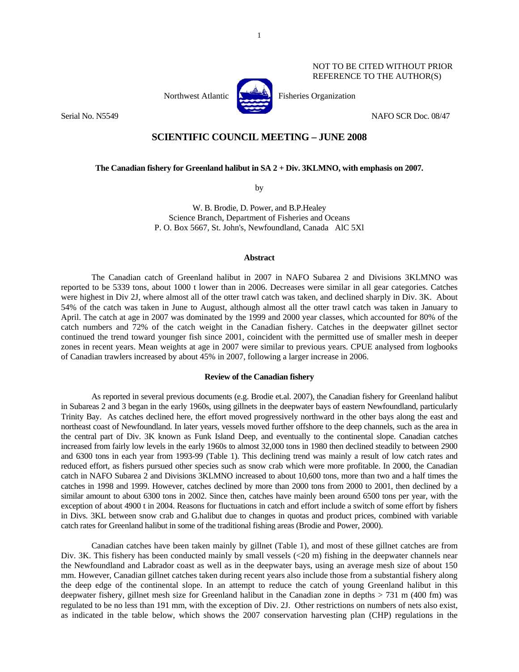

NOT TO BE CITED WITHOUT PRIOR REFERENCE TO THE AUTHOR(S)

Serial No. N5549 NAFO SCR Doc. 08/47

# **SCIENTIFIC COUNCIL MEETING – JUNE 2008**

**The Canadian fishery for Greenland halibut in SA 2 + Div. 3KLMNO, with emphasis on 2007.** 

by

W. B. Brodie, D. Power, and B.P.Healey Science Branch, Department of Fisheries and Oceans P. O. Box 5667, St. John's, Newfoundland, Canada AlC 5Xl

### **Abstract**

 The Canadian catch of Greenland halibut in 2007 in NAFO Subarea 2 and Divisions 3KLMNO was reported to be 5339 tons, about 1000 t lower than in 2006. Decreases were similar in all gear categories. Catches were highest in Div 2J, where almost all of the otter trawl catch was taken, and declined sharply in Div. 3K. About 54% of the catch was taken in June to August, although almost all the otter trawl catch was taken in January to April. The catch at age in 2007 was dominated by the 1999 and 2000 year classes, which accounted for 80% of the catch numbers and 72% of the catch weight in the Canadian fishery. Catches in the deepwater gillnet sector continued the trend toward younger fish since 2001, coincident with the permitted use of smaller mesh in deeper zones in recent years. Mean weights at age in 2007 were similar to previous years. CPUE analysed from logbooks of Canadian trawlers increased by about 45% in 2007, following a larger increase in 2006.

## **Review of the Canadian fishery**

 As reported in several previous documents (e.g. Brodie et.al. 2007), the Canadian fishery for Greenland halibut in Subareas 2 and 3 began in the early 1960s, using gillnets in the deepwater bays of eastern Newfoundland, particularly Trinity Bay. As catches declined here, the effort moved progressively northward in the other bays along the east and northeast coast of Newfoundland. In later years, vessels moved further offshore to the deep channels, such as the area in the central part of Div. 3K known as Funk Island Deep, and eventually to the continental slope. Canadian catches increased from fairly low levels in the early 1960s to almost 32,000 tons in 1980 then declined steadily to between 2900 and 6300 tons in each year from 1993-99 (Table 1). This declining trend was mainly a result of low catch rates and reduced effort, as fishers pursued other species such as snow crab which were more profitable. In 2000, the Canadian catch in NAFO Subarea 2 and Divisions 3KLMNO increased to about 10,600 tons, more than two and a half times the catches in 1998 and 1999. However, catches declined by more than 2000 tons from 2000 to 2001, then declined by a similar amount to about 6300 tons in 2002. Since then, catches have mainly been around 6500 tons per year, with the exception of about 4900 t in 2004. Reasons for fluctuations in catch and effort include a switch of some effort by fishers in Divs. 3KL between snow crab and G.halibut due to changes in quotas and product prices, combined with variable catch rates for Greenland halibut in some of the traditional fishing areas (Brodie and Power, 2000).

 Canadian catches have been taken mainly by gillnet (Table 1), and most of these gillnet catches are from Div. 3K. This fishery has been conducted mainly by small vessels  $( $20 \text{ m}$ )$  fishing in the deepwater channels near the Newfoundland and Labrador coast as well as in the deepwater bays, using an average mesh size of about 150 mm. However, Canadian gillnet catches taken during recent years also include those from a substantial fishery along the deep edge of the continental slope. In an attempt to reduce the catch of young Greenland halibut in this deepwater fishery, gillnet mesh size for Greenland halibut in the Canadian zone in depths > 731 m (400 fm) was regulated to be no less than 191 mm, with the exception of Div. 2J. Other restrictions on numbers of nets also exist, as indicated in the table below, which shows the 2007 conservation harvesting plan (CHP) regulations in the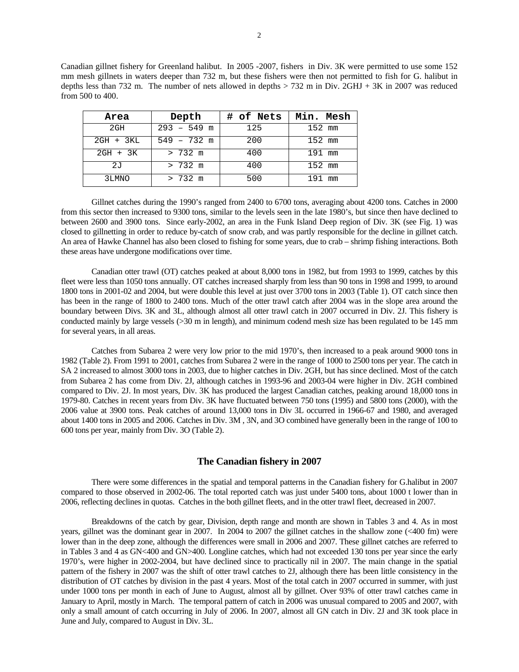Canadian gillnet fishery for Greenland halibut. In 2005 -2007, fishers in Div. 3K were permitted to use some 152 mm mesh gillnets in waters deeper than 732 m, but these fishers were then not permitted to fish for G. halibut in depths less than 732 m. The number of nets allowed in depths  $> 732$  m in Div. 2GHJ + 3K in 2007 was reduced from 500 to 400.

| Area        | Depth             | # of Nets | Min. Mesh |
|-------------|-------------------|-----------|-----------|
| 2GH         | $293 - 549$ m     | 125       | 152 mm    |
| $2GH + 3KL$ | $549 - 732$ m     | 200       | 152 mm    |
| 2GH + 3K    | $> 732 \text{ m}$ | 400       | 191 mm    |
| 2J          | $> 732 \text{ m}$ | 400       | $152$ mm  |
| 3LMNO       | $> 732 \text{ m}$ | 500       | 191 mm    |

 Gillnet catches during the 1990's ranged from 2400 to 6700 tons, averaging about 4200 tons. Catches in 2000 from this sector then increased to 9300 tons, similar to the levels seen in the late 1980's, but since then have declined to between 2600 and 3900 tons. Since early-2002, an area in the Funk Island Deep region of Div. 3K (see Fig. 1) was closed to gillnetting in order to reduce by-catch of snow crab, and was partly responsible for the decline in gillnet catch. An area of Hawke Channel has also been closed to fishing for some years, due to crab – shrimp fishing interactions. Both these areas have undergone modifications over time.

 Canadian otter trawl (OT) catches peaked at about 8,000 tons in 1982, but from 1993 to 1999, catches by this fleet were less than 1050 tons annually. OT catches increased sharply from less than 90 tons in 1998 and 1999, to around 1800 tons in 2001-02 and 2004, but were double this level at just over 3700 tons in 2003 (Table 1). OT catch since then has been in the range of 1800 to 2400 tons. Much of the otter trawl catch after 2004 was in the slope area around the boundary between Divs. 3K and 3L, although almost all otter trawl catch in 2007 occurred in Div. 2J. This fishery is conducted mainly by large vessels (>30 m in length), and minimum codend mesh size has been regulated to be 145 mm for several years, in all areas.

 Catches from Subarea 2 were very low prior to the mid 1970's, then increased to a peak around 9000 tons in 1982 (Table 2). From 1991 to 2001, catches from Subarea 2 were in the range of 1000 to 2500 tons per year. The catch in SA 2 increased to almost 3000 tons in 2003, due to higher catches in Div. 2GH, but has since declined. Most of the catch from Subarea 2 has come from Div. 2J, although catches in 1993-96 and 2003-04 were higher in Div. 2GH combined compared to Div. 2J. In most years, Div. 3K has produced the largest Canadian catches, peaking around 18,000 tons in 1979-80. Catches in recent years from Div. 3K have fluctuated between 750 tons (1995) and 5800 tons (2000), with the 2006 value at 3900 tons. Peak catches of around 13,000 tons in Div 3L occurred in 1966-67 and 1980, and averaged about 1400 tons in 2005 and 2006. Catches in Div. 3M , 3N, and 3O combined have generally been in the range of 100 to 600 tons per year, mainly from Div. 3O (Table 2).

# **The Canadian fishery in 2007**

 There were some differences in the spatial and temporal patterns in the Canadian fishery for G.halibut in 2007 compared to those observed in 2002-06. The total reported catch was just under 5400 tons, about 1000 t lower than in 2006, reflecting declines in quotas. Catches in the both gillnet fleets, and in the otter trawl fleet, decreased in 2007.

 Breakdowns of the catch by gear, Division, depth range and month are shown in Tables 3 and 4. As in most years, gillnet was the dominant gear in 2007. In 2004 to 2007 the gillnet catches in the shallow zone (<400 fm) were lower than in the deep zone, although the differences were small in 2006 and 2007. These gillnet catches are referred to in Tables 3 and 4 as GN<400 and GN>400. Longline catches, which had not exceeded 130 tons per year since the early 1970's, were higher in 2002-2004, but have declined since to practically nil in 2007. The main change in the spatial pattern of the fishery in 2007 was the shift of otter trawl catches to 2J, although there has been little consistency in the distribution of OT catches by division in the past 4 years. Most of the total catch in 2007 occurred in summer, with just under 1000 tons per month in each of June to August, almost all by gillnet. Over 93% of otter trawl catches came in January to April, mostly in March. The temporal pattern of catch in 2006 was unusual compared to 2005 and 2007, with only a small amount of catch occurring in July of 2006. In 2007, almost all GN catch in Div. 2J and 3K took place in June and July, compared to August in Div. 3L.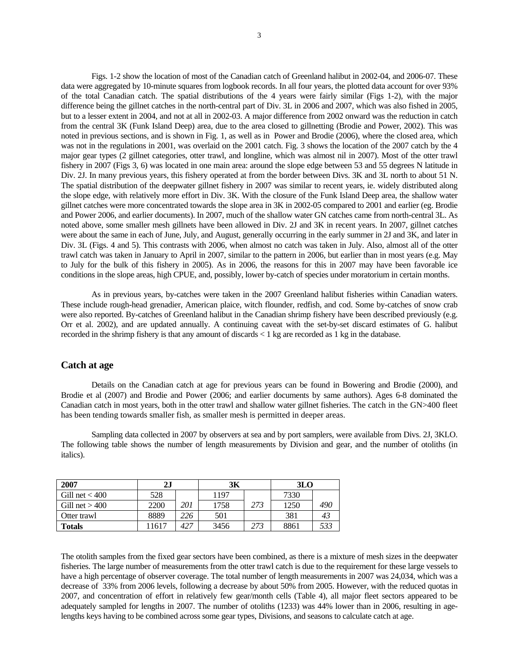Figs. 1-2 show the location of most of the Canadian catch of Greenland halibut in 2002-04, and 2006-07. These data were aggregated by 10-minute squares from logbook records. In all four years, the plotted data account for over 93% of the total Canadian catch. The spatial distributions of the 4 years were fairly similar (Figs 1-2), with the major difference being the gillnet catches in the north-central part of Div. 3L in 2006 and 2007, which was also fished in 2005, but to a lesser extent in 2004, and not at all in 2002-03. A major difference from 2002 onward was the reduction in catch from the central 3K (Funk Island Deep) area, due to the area closed to gillnetting (Brodie and Power, 2002). This was noted in previous sections, and is shown in Fig. 1, as well as in Power and Brodie (2006), where the closed area, which was not in the regulations in 2001, was overlaid on the 2001 catch. Fig. 3 shows the location of the 2007 catch by the 4 major gear types (2 gillnet categories, otter trawl, and longline, which was almost nil in 2007). Most of the otter trawl fishery in 2007 (Figs 3, 6) was located in one main area: around the slope edge between 53 and 55 degrees N latitude in Div. 2J. In many previous years, this fishery operated at from the border between Divs. 3K and 3L north to about 51 N. The spatial distribution of the deepwater gillnet fishery in 2007 was similar to recent years, ie. widely distributed along the slope edge, with relatively more effort in Div. 3K. With the closure of the Funk Island Deep area, the shallow water gillnet catches were more concentrated towards the slope area in 3K in 2002-05 compared to 2001 and earlier (eg. Brodie and Power 2006, and earlier documents). In 2007, much of the shallow water GN catches came from north-central 3L. As noted above, some smaller mesh gillnets have been allowed in Div. 2J and 3K in recent years. In 2007, gillnet catches were about the same in each of June, July, and August, generally occurring in the early summer in 2J and 3K, and later in Div. 3L (Figs. 4 and 5). This contrasts with 2006, when almost no catch was taken in July. Also, almost all of the otter trawl catch was taken in January to April in 2007, similar to the pattern in 2006, but earlier than in most years (e.g. May to July for the bulk of this fishery in 2005). As in 2006, the reasons for this in 2007 may have been favorable ice conditions in the slope areas, high CPUE, and, possibly, lower by-catch of species under moratorium in certain months.

 As in previous years, by-catches were taken in the 2007 Greenland halibut fisheries within Canadian waters. These include rough-head grenadier, American plaice, witch flounder, redfish, and cod. Some by-catches of snow crab were also reported. By-catches of Greenland halibut in the Canadian shrimp fishery have been described previously (e.g. Orr et al. 2002), and are updated annually. A continuing caveat with the set-by-set discard estimates of G. halibut recorded in the shrimp fishery is that any amount of discards < 1 kg are recorded as 1 kg in the database.

## **Catch at age**

 Details on the Canadian catch at age for previous years can be found in Bowering and Brodie (2000), and Brodie et al (2007) and Brodie and Power (2006; and earlier documents by same authors). Ages 6-8 dominated the Canadian catch in most years, both in the otter trawl and shallow water gillnet fisheries. The catch in the GN>400 fleet has been tending towards smaller fish, as smaller mesh is permitted in deeper areas.

 Sampling data collected in 2007 by observers at sea and by port samplers, were available from Divs. 2J, 3KLO. The following table shows the number of length measurements by Division and gear, and the number of otoliths (in italics).

| 2007             | 2J    |     | 3K   |     | 3 <sub>LO</sub> |     |  |
|------------------|-------|-----|------|-----|-----------------|-----|--|
| Gill net $<$ 400 | 528   |     | 1197 |     | 7330            |     |  |
| Gill net $>400$  | 2200  | 201 | 1758 | 273 | 1250            | 490 |  |
| Otter trawl      | 8889  | 226 | 501  |     | 381             | 43  |  |
| Totals           | 11617 | 427 | 3456 | 273 | 8861            |     |  |

The otolith samples from the fixed gear sectors have been combined, as there is a mixture of mesh sizes in the deepwater fisheries. The large number of measurements from the otter trawl catch is due to the requirement for these large vessels to have a high percentage of observer coverage. The total number of length measurements in 2007 was 24,034, which was a decrease of 33% from 2006 levels, following a decrease by about 50% from 2005. However, with the reduced quotas in 2007, and concentration of effort in relatively few gear/month cells (Table 4), all major fleet sectors appeared to be adequately sampled for lengths in 2007. The number of otoliths (1233) was 44% lower than in 2006, resulting in agelengths keys having to be combined across some gear types, Divisions, and seasons to calculate catch at age.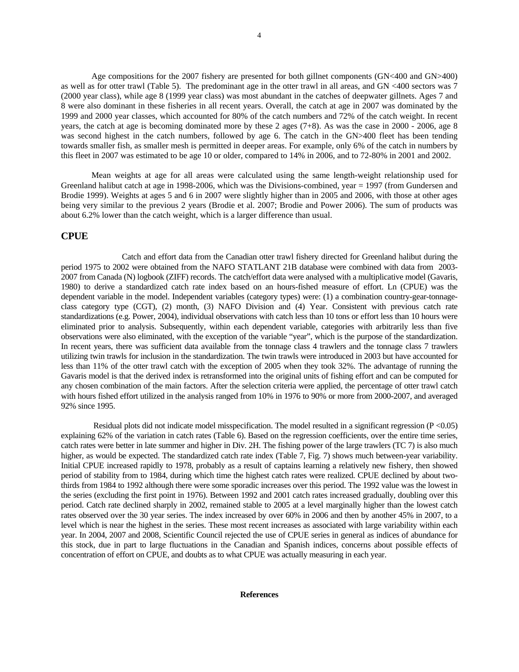Age compositions for the 2007 fishery are presented for both gillnet components (GN<400 and GN>400) as well as for otter trawl (Table 5). The predominant age in the otter trawl in all areas, and GN <400 sectors was 7 (2000 year class), while age 8 (1999 year class) was most abundant in the catches of deepwater gillnets. Ages 7 and 8 were also dominant in these fisheries in all recent years. Overall, the catch at age in 2007 was dominated by the 1999 and 2000 year classes, which accounted for 80% of the catch numbers and 72% of the catch weight. In recent years, the catch at age is becoming dominated more by these 2 ages (7+8). As was the case in 2000 - 2006, age 8 was second highest in the catch numbers, followed by age 6. The catch in the GN>400 fleet has been tending towards smaller fish, as smaller mesh is permitted in deeper areas. For example, only 6% of the catch in numbers by this fleet in 2007 was estimated to be age 10 or older, compared to 14% in 2006, and to 72-80% in 2001 and 2002.

Mean weights at age for all areas were calculated using the same length-weight relationship used for Greenland halibut catch at age in 1998-2006, which was the Divisions-combined, year = 1997 (from Gundersen and Brodie 1999). Weights at ages 5 and 6 in 2007 were slightly higher than in 2005 and 2006, with those at other ages being very similar to the previous 2 years (Brodie et al. 2007; Brodie and Power 2006). The sum of products was about 6.2% lower than the catch weight, which is a larger difference than usual.

# **CPUE**

 Catch and effort data from the Canadian otter trawl fishery directed for Greenland halibut during the period 1975 to 2002 were obtained from the NAFO STATLANT 21B database were combined with data from 2003- 2007 from Canada (N) logbook (ZIFF) records. The catch/effort data were analysed with a multiplicative model (Gavaris, 1980) to derive a standardized catch rate index based on an hours-fished measure of effort. Ln (CPUE) was the dependent variable in the model. Independent variables (category types) were: (1) a combination country-gear-tonnageclass category type (CGT), (2) month, (3) NAFO Division and (4) Year. Consistent with previous catch rate standardizations (e.g. Power, 2004), individual observations with catch less than 10 tons or effort less than 10 hours were eliminated prior to analysis. Subsequently, within each dependent variable, categories with arbitrarily less than five observations were also eliminated, with the exception of the variable "year", which is the purpose of the standardization. In recent years, there was sufficient data available from the tonnage class 4 trawlers and the tonnage class 7 trawlers utilizing twin trawls for inclusion in the standardization. The twin trawls were introduced in 2003 but have accounted for less than 11% of the otter trawl catch with the exception of 2005 when they took 32%. The advantage of running the Gavaris model is that the derived index is retransformed into the original units of fishing effort and can be computed for any chosen combination of the main factors. After the selection criteria were applied, the percentage of otter trawl catch with hours fished effort utilized in the analysis ranged from 10% in 1976 to 90% or more from 2000-2007, and averaged 92% since 1995.

Residual plots did not indicate model misspecification. The model resulted in a significant regression  $(P < 0.05)$ explaining 62% of the variation in catch rates (Table 6). Based on the regression coefficients, over the entire time series, catch rates were better in late summer and higher in Div. 2H. The fishing power of the large trawlers (TC 7) is also much higher, as would be expected. The standardized catch rate index (Table 7, Fig. 7) shows much between-year variability. Initial CPUE increased rapidly to 1978, probably as a result of captains learning a relatively new fishery, then showed period of stability from to 1984, during which time the highest catch rates were realized. CPUE declined by about twothirds from 1984 to 1992 although there were some sporadic increases over this period. The 1992 value was the lowest in the series (excluding the first point in 1976). Between 1992 and 2001 catch rates increased gradually, doubling over this period. Catch rate declined sharply in 2002, remained stable to 2005 at a level marginally higher than the lowest catch rates observed over the 30 year series. The index increased by over 60% in 2006 and then by another 45% in 2007, to a level which is near the highest in the series. These most recent increases as associated with large variability within each year. In 2004, 2007 and 2008, Scientific Council rejected the use of CPUE series in general as indices of abundance for this stock, due in part to large fluctuations in the Canadian and Spanish indices, concerns about possible effects of concentration of effort on CPUE, and doubts as to what CPUE was actually measuring in each year.

#### **References**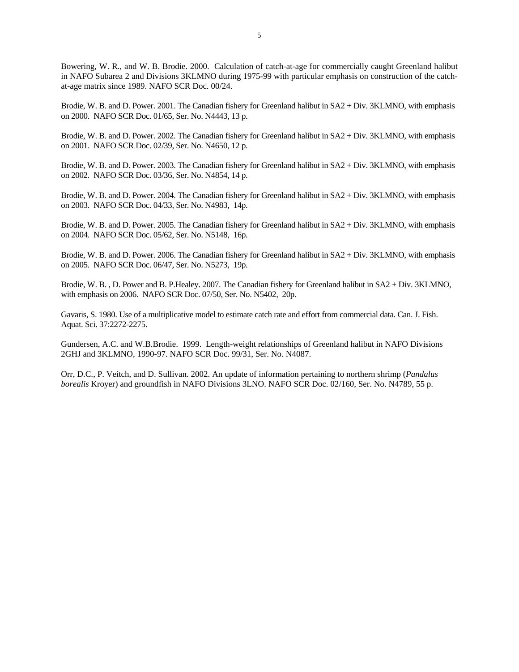Bowering, W. R., and W. B. Brodie. 2000. Calculation of catch-at-age for commercially caught Greenland halibut in NAFO Subarea 2 and Divisions 3KLMNO during 1975-99 with particular emphasis on construction of the catchat-age matrix since 1989. NAFO SCR Doc. 00/24.

Brodie, W. B. and D. Power. 2001. The Canadian fishery for Greenland halibut in SA2 + Div. 3KLMNO, with emphasis on 2000. NAFO SCR Doc. 01/65, Ser. No. N4443, 13 p.

Brodie, W. B. and D. Power. 2002. The Canadian fishery for Greenland halibut in SA2 + Div. 3KLMNO, with emphasis on 2001. NAFO SCR Doc. 02/39, Ser. No. N4650, 12 p.

Brodie, W. B. and D. Power. 2003. The Canadian fishery for Greenland halibut in SA2 + Div. 3KLMNO, with emphasis on 2002. NAFO SCR Doc. 03/36, Ser. No. N4854, 14 p.

Brodie, W. B. and D. Power. 2004. The Canadian fishery for Greenland halibut in SA2 + Div. 3KLMNO, with emphasis on 2003. NAFO SCR Doc. 04/33, Ser. No. N4983, 14p.

Brodie, W. B. and D. Power. 2005. The Canadian fishery for Greenland halibut in SA2 + Div. 3KLMNO, with emphasis on 2004. NAFO SCR Doc. 05/62, Ser. No. N5148, 16p.

Brodie, W. B. and D. Power. 2006. The Canadian fishery for Greenland halibut in SA2 + Div. 3KLMNO, with emphasis on 2005. NAFO SCR Doc. 06/47, Ser. No. N5273, 19p.

Brodie, W. B. , D. Power and B. P.Healey. 2007. The Canadian fishery for Greenland halibut in SA2 + Div. 3KLMNO, with emphasis on 2006. NAFO SCR Doc. 07/50, Ser. No. N5402, 20p.

Gavaris, S. 1980. Use of a multiplicative model to estimate catch rate and effort from commercial data. Can. J. Fish. Aquat. Sci. 37:2272-2275.

Gundersen, A.C. and W.B.Brodie. 1999. Length-weight relationships of Greenland halibut in NAFO Divisions 2GHJ and 3KLMNO, 1990-97. NAFO SCR Doc. 99/31, Ser. No. N4087.

Orr, D.C., P. Veitch, and D. Sullivan. 2002. An update of information pertaining to northern shrimp (*Pandalus borealis* Kroyer) and groundfish in NAFO Divisions 3LNO. NAFO SCR Doc. 02/160, Ser. No. N4789, 55 p.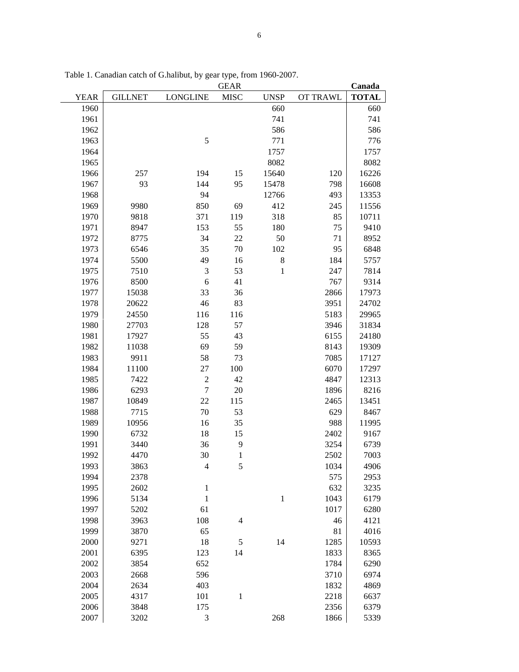|             |                |                 | <b>GEAR</b>              |             |          | Canada       |
|-------------|----------------|-----------------|--------------------------|-------------|----------|--------------|
| <b>YEAR</b> | <b>GILLNET</b> | <b>LONGLINE</b> | <b>MISC</b>              | <b>UNSP</b> | OT TRAWL | <b>TOTAL</b> |
| 1960        |                |                 |                          | 660         |          | 660          |
| 1961        |                |                 |                          | 741         |          | 741          |
| 1962        |                |                 |                          | 586         |          | 586          |
| 1963        |                | 5               |                          | 771         |          | 776          |
| 1964        |                |                 |                          | 1757        |          | 1757         |
| 1965        |                |                 |                          | 8082        |          | 8082         |
| 1966        | 257            | 194             | 15                       | 15640       | 120      | 16226        |
| 1967        | 93             | 144             | 95                       | 15478       | 798      | 16608        |
| 1968        |                | 94              |                          | 12766       | 493      | 13353        |
| 1969        | 9980           | 850             | 69                       | 412         | 245      | 11556        |
| 1970        | 9818           | 371             | 119                      | 318         | 85       | 10711        |
| 1971        | 8947           | 153             | 55                       | 180         | 75       | 9410         |
| 1972        | 8775           | 34              | 22                       | 50          | 71       | 8952         |
| 1973        | 6546           | 35              | 70                       | 102         | 95       | 6848         |
| 1974        | 5500           | 49              | 16                       | 8           | 184      | 5757         |
| 1975        | 7510           | 3               | 53                       | $\,1\,$     | 247      | 7814         |
| 1976        | 8500           | 6               | 41                       |             | 767      | 9314         |
| 1977        | 15038          | 33              | 36                       |             | 2866     | 17973        |
| 1978        | 20622          | 46              | 83                       |             | 3951     | 24702        |
| 1979        | 24550          | 116             | 116                      |             | 5183     | 29965        |
| 1980        | 27703          | 128             | 57                       |             | 3946     | 31834        |
| 1981        | 17927          | 55              | 43                       |             | 6155     | 24180        |
| 1982        | 11038          | 69              | 59                       |             | 8143     | 19309        |
| 1983        | 9911           | 58              | 73                       |             | 7085     | 17127        |
| 1984        | 11100          | 27              | 100                      |             | 6070     | 17297        |
| 1985        | 7422           | $\overline{2}$  | 42                       |             | 4847     | 12313        |
| 1986        | 6293           | $\overline{7}$  | 20                       |             | 1896     | 8216         |
| 1987        | 10849          | 22              | 115                      |             | 2465     | 13451        |
| 1988        | 7715           | 70              | 53                       |             | 629      | 8467         |
| 1989        | 10956          | 16              | 35                       |             | 988      | 11995        |
| 1990        | 6732           | 18              | 15                       |             | 2402     | 9167         |
| 1991        | 3440           | 36              | 9                        |             | 3254     | 6739         |
| 1992        | 4470           | 30              | $\mathbf{1}$             |             | 2502     | 7003         |
| 1993        | 3863           | 4               | 5                        |             | 1034     | 4906         |
| 1994        | 2378           |                 |                          |             | 575      | 2953         |
| 1995        | 2602           | $\mathbf{1}$    |                          |             | 632      | 3235         |
| 1996        | 5134           | $\mathbf{1}$    |                          | $\,1\,$     | 1043     | 6179         |
| 1997        | 5202           | 61              |                          |             | 1017     | 6280         |
| 1998        | 3963           | 108             | $\overline{\mathcal{L}}$ |             | 46       | 4121         |
| 1999        | 3870           | 65              |                          |             | 81       | 4016         |
| 2000        | 9271           | 18              | 5                        | 14          | 1285     | 10593        |
| 2001        | 6395           | 123             | 14                       |             | 1833     | 8365         |
| 2002        | 3854           | 652             |                          |             | 1784     | 6290         |
| 2003        | 2668           | 596             |                          |             | 3710     | 6974         |
| 2004        | 2634           | 403             |                          |             | 1832     | 4869         |
| 2005        | 4317           | 101             | $\mathbf{1}$             |             | 2218     | 6637         |
| 2006        | 3848           | 175             |                          |             | 2356     | 6379         |
| 2007        | 3202           | 3               |                          | 268         | 1866     | 5339         |

Table 1. Canadian catch of G.halibut, by gear type, from 1960-2007.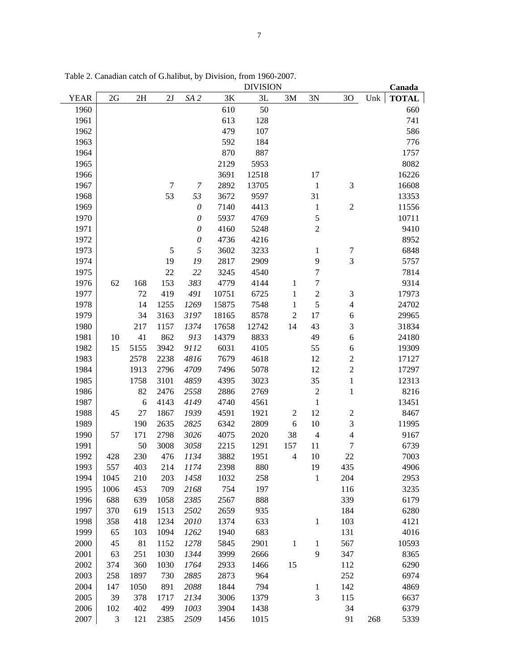|             |      |      |                |                           |       | <b>DIVISION</b> |                |                  |                          |     | Canada       |
|-------------|------|------|----------------|---------------------------|-------|-----------------|----------------|------------------|--------------------------|-----|--------------|
| <b>YEAR</b> | 2G   | 2H   | 2J             | SA <sub>2</sub>           | 3K    | 3L              | 3M             | 3N               | 30                       | Unk | <b>TOTAL</b> |
| 1960        |      |      |                |                           | 610   | 50              |                |                  |                          |     | 660          |
| 1961        |      |      |                |                           | 613   | 128             |                |                  |                          |     | 741          |
| 1962        |      |      |                |                           | 479   | 107             |                |                  |                          |     | 586          |
| 1963        |      |      |                |                           | 592   | 184             |                |                  |                          |     | 776          |
| 1964        |      |      |                |                           | 870   | 887             |                |                  |                          |     | 1757         |
| 1965        |      |      |                |                           | 2129  | 5953            |                |                  |                          |     | 8082         |
| 1966        |      |      |                |                           | 3691  | 12518           |                | 17               |                          |     | 16226        |
| 1967        |      |      | $\overline{7}$ | $\boldsymbol{7}$          | 2892  | 13705           |                | $\mathbf{1}$     | 3                        |     | 16608        |
| 1968        |      |      | 53             | 53                        | 3672  | 9597            |                | 31               |                          |     | 13353        |
| 1969        |      |      |                | $\boldsymbol{\mathit{0}}$ | 7140  | 4413            |                | $\mathbf{1}$     | $\sqrt{2}$               |     | 11556        |
| 1970        |      |      |                | $\mathcal O$              | 5937  | 4769            |                | 5                |                          |     | 10711        |
| 1971        |      |      |                | $\mathcal O$              | 4160  | 5248            |                | $\overline{2}$   |                          |     | 9410         |
| 1972        |      |      |                | $\mathcal O$              | 4736  | 4216            |                |                  |                          |     | 8952         |
| 1973        |      |      | $\sqrt{5}$     | $\sqrt{2}$                | 3602  | 3233            |                | $\mathbf{1}$     | $\boldsymbol{7}$         |     | 6848         |
| 1974        |      |      | 19             | 19                        | 2817  | 2909            |                | 9                | 3                        |     | 5757         |
| 1975        |      |      | 22             | 22                        | 3245  | 4540            |                | $\boldsymbol{7}$ |                          |     | 7814         |
| 1976        | 62   | 168  | 153            | 383                       | 4779  | 4144            | 1              | $\sqrt{ }$       |                          |     | 9314         |
| 1977        |      | 72   | 419            | 491                       | 10751 | 6725            | $\mathbf{1}$   | $\sqrt{2}$       | 3                        |     | 17973        |
| 1978        |      | 14   | 1255           | 1269                      | 15875 | 7548            | $\mathbf{1}$   | 5                | $\overline{4}$           |     | 24702        |
| 1979        |      | 34   | 3163           | 3197                      | 18165 | 8578            | $\mathfrak{2}$ | 17               | 6                        |     | 29965        |
| 1980        |      | 217  | 1157           | 1374                      | 17658 | 12742           | 14             | 43               | 3                        |     | 31834        |
| 1981        | 10   | 41   | 862            | 913                       | 14379 | 8833            |                | 49               | 6                        |     | 24180        |
| 1982        | 15   | 5155 | 3942           | 9112                      | 6031  | 4105            |                | 55               | 6                        |     | 19309        |
| 1983        |      | 2578 | 2238           | 4816                      | 7679  | 4618            |                | 12               | $\overline{\mathbf{c}}$  |     | 17127        |
| 1984        |      | 1913 | 2796           | 4709                      | 7496  | 5078            |                | 12               | $\overline{c}$           |     | 17297        |
| 1985        |      | 1758 | 3101           | 4859                      | 4395  | 3023            |                | 35               | $\mathbf{1}$             |     | 12313        |
| 1986        |      | 82   | 2476           | 2558                      | 2886  | 2769            |                | $\boldsymbol{2}$ | $\mathbf{1}$             |     | 8216         |
| 1987        |      | 6    | 4143           | 4149                      | 4740  | 4561            |                | $\mathbf{1}$     |                          |     | 13451        |
| 1988        | 45   | 27   | 1867           | 1939                      | 4591  | 1921            | $\mathbf{2}$   | 12               | $\overline{c}$           |     | 8467         |
| 1989        |      | 190  | 2635           | 2825                      | 6342  | 2809            | 6              | 10               | 3                        |     | 11995        |
| 1990        | 57   | 171  | 2798           | 3026                      | 4075  | 2020            | 38             | $\overline{4}$   | $\overline{\mathcal{L}}$ |     | 9167         |
| 1991        |      | 50   | 3008           | 3058                      | 2215  | 1291            | 157            | 11               | 7                        |     | 6739         |
| 1992        | 428  | 230  | 476            | 1134                      | 3882  | 1951            | $\overline{4}$ | 10               | 22                       |     | 7003         |
| 1993        | 557  | 403  | 214            | 1174                      | 2398  | 880             |                | 19               | 435                      |     | 4906         |
| 1994        | 1045 | 210  | 203            | 1458                      | 1032  | 258             |                | $\mathbf{1}$     | 204                      |     | 2953         |
| 1995        | 1006 | 453  | 709            | 2168                      | 754   | 197             |                |                  | 116                      |     | 3235         |
| 1996        | 688  | 639  | 1058           | 2385                      | 2567  | 888             |                |                  | 339                      |     | 6179         |
| 1997        | 370  | 619  | 1513           | 2502                      | 2659  | 935             |                |                  | 184                      |     | 6280         |
| 1998        | 358  | 418  | 1234           | 2010                      | 1374  | 633             |                | $\mathbf{1}$     | 103                      |     | 4121         |
| 1999        | 65   | 103  | 1094           | 1262                      | 1940  | 683             |                |                  | 131                      |     | 4016         |
| 2000        | 45   | 81   | 1152           | 1278                      | 5845  | 2901            | $\mathbf{1}$   | $\mathbf{1}$     | 567                      |     | 10593        |
| 2001        | 63   | 251  | 1030           | 1344                      | 3999  | 2666            |                | 9                | 347                      |     | 8365         |
| 2002        | 374  | 360  | 1030           | 1764                      | 2933  | 1466            | 15             |                  | 112                      |     | 6290         |
| 2003        | 258  | 1897 | 730            | 2885                      | 2873  | 964             |                |                  | 252                      |     | 6974         |
| 2004        | 147  | 1050 | 891            | 2088                      | 1844  | 794             |                | $\mathbf{1}$     | 142                      |     | 4869         |
| 2005        | 39   | 378  | 1717           | 2134                      | 3006  | 1379            |                | 3                | 115                      |     | 6637         |
| 2006        | 102  | 402  | 499            | 1003                      | 3904  | 1438            |                |                  | 34                       |     | 6379         |
|             |      |      |                |                           |       |                 |                |                  |                          |     |              |
| 2007        | 3    | 121  | 2385           | 2509                      | 1456  | 1015            |                |                  | 91                       | 268 | 5339         |

Table 2. Canadian catch of G.halibut, by Division, from 1960-2007.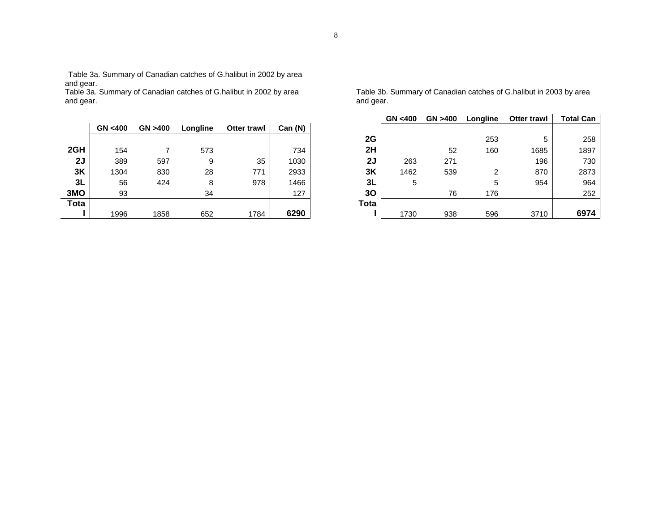Table 3a. Summary of Canadian catches of G.halibut in 2002 by area and gear.

Table 3a. Summary of Canadian catches of G.halibut in 2002 by area and gear.

|             | GN <400 | GN > 400 | Longline | <b>Otter trawl</b> | Can (N) |             |
|-------------|---------|----------|----------|--------------------|---------|-------------|
|             |         |          |          |                    |         | 2G          |
| 2GH         | 154     |          | 573      |                    | 734     | 2H          |
| 2J          | 389     | 597      | 9        | 35                 | 1030    | 2J          |
| 3K          | 1304    | 830      | 28       | 771                | 2933    | 3K          |
| 3L          | 56      | 424      | 8        | 978                | 1466    | 3L          |
| 3MO         | 93      |          | 34       |                    | 127     | 30          |
| <b>Tota</b> |         |          |          |                    |         | <b>Tota</b> |
|             | 1996    | 1858     | 652      | 1784               | 6290    |             |

Table 3b. Summary of Canadian catches of G.halibut in 2003 by area and gear.

|      | GN <400 | GN > 400 | Longline | <b>Otter trawl</b> | <b>Total Can</b> |
|------|---------|----------|----------|--------------------|------------------|
|      |         |          |          |                    |                  |
| 2G   |         |          | 253      | 5                  | 258              |
| 2H   |         | 52       | 160      | 1685               | 1897             |
| 2J   | 263     | 271      |          | 196                | 730              |
| 3K   | 1462    | 539      | 2        | 870                | 2873             |
| 3L   | 5       |          | 5        | 954                | 964              |
| 30   |         | 76       | 176      |                    | 252              |
| Tota |         |          |          |                    |                  |
|      | 1730    | 938      | 596      | 3710               | 6974             |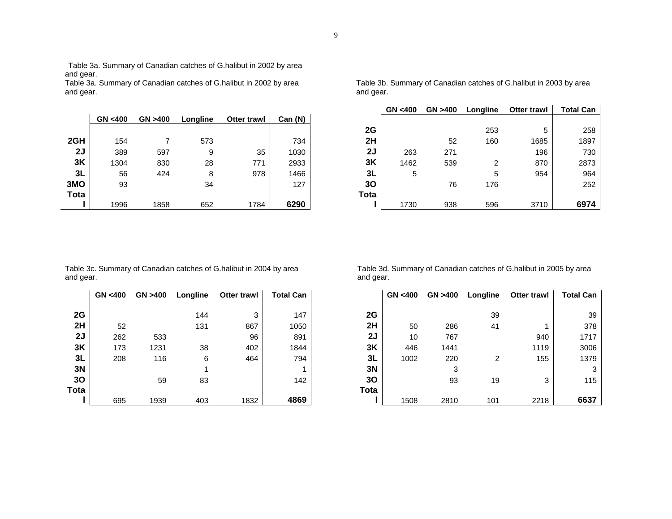Table 3a. Summary of Canadian catches of G.halibut in 2002 by area and gear.

Table 3a. Summary of Canadian catches of G.halibut in 2002 by area and gear.

|             | GN < 400 | GN > 400 | Longline | <b>Otter trawl</b> | Can (N) |             |
|-------------|----------|----------|----------|--------------------|---------|-------------|
|             |          |          |          |                    |         | 2G          |
| 2GH         | 154      |          | 573      |                    | 734     | 2H          |
| 2J          | 389      | 597      | 9        | 35                 | 1030    | 2J          |
| 3K          | 1304     | 830      | 28       | 771                | 2933    | 3K          |
| 3L          | 56       | 424      | 8        | 978                | 1466    | 3L          |
| 3MO         | 93       |          | 34       |                    | 127     | 30          |
| <b>Tota</b> |          |          |          |                    |         | <b>Tota</b> |
|             | 1996     | 1858     | 652      | 1784               | 6290    |             |

Table 3b. Summary of Canadian catches of G.halibut in 2003 by area and gear.

|      | GN < 400 | GN > 400 | Longline | <b>Otter trawl</b> | <b>Total Can</b> |
|------|----------|----------|----------|--------------------|------------------|
|      |          |          |          |                    |                  |
| 2G   |          |          | 253      | 5                  | 258              |
| 2H   |          | 52       | 160      | 1685               | 1897             |
| 2J   | 263      | 271      |          | 196                | 730              |
| 3K   | 1462     | 539      | 2        | 870                | 2873             |
| 3L   | 5        |          | 5        | 954                | 964              |
| 30   |          | 76       | 176      |                    | 252              |
| Tota |          |          |          |                    |                  |
|      | 1730     | 938      | 596      | 3710               | 6974             |

Table 3c. Summary of Canadian catches of G.halibut in 2004 by area and gear.

|      | GN <400 | GN >400 | Longline | <b>Otter trawl</b> | <b>Total Can</b> |      |
|------|---------|---------|----------|--------------------|------------------|------|
| 2G   |         |         | 144      | 3                  | 147              | 2G   |
| 2H   | 52      |         | 131      | 867                | 1050             | 2H   |
| 2J   | 262     | 533     |          | 96                 | 891              | 2J   |
| 3K   | 173     | 1231    | 38       | 402                | 1844             | 3K   |
| 3L   | 208     | 116     | 6        | 464                | 794              | 3L   |
| 3N   |         |         |          |                    | 1                | 3N   |
| 30   |         | 59      | 83       |                    | 142              | 30   |
| Tota |         |         |          |                    |                  | Tota |
|      | 695     | 1939    | 403      | 1832               | 4869             |      |

Table 3d. Summary of Canadian catches of G.halibut in 2005 by area and gear.

| GN <400 | GN >400 | Longline | Otter trawl | <b>Total Can</b> |      | GN < 400 | GN >400 | Longline | Otter trawl | <b>Total Can</b> |
|---------|---------|----------|-------------|------------------|------|----------|---------|----------|-------------|------------------|
|         |         |          |             |                  |      |          |         |          |             |                  |
|         |         | 144      | 3           | 147              | 2G   |          |         | 39       |             | 39               |
| 52      |         | 131      | 867         | 1050             | 2H   | 50       | 286     | 41       |             | 378              |
| 262     | 533     |          | 96          | 891              | 2J   | 10       | 767     |          | 940         | 1717             |
| 173     | 1231    | 38       | 402         | 1844             | 3K   | 446      | 1441    |          | 1119        | 3006             |
| 208     | 116     | 6        | 464         | 794              | 3L   | 1002     | 220     | 2        | 155         | 1379             |
|         |         |          |             |                  | 3N   |          | 3       |          |             | 3                |
|         | 59      | 83       |             | 142              | 30   |          | 93      | 19       | 3           | 115              |
|         |         |          |             |                  | Tota |          |         |          |             |                  |
| 695     | 1939    | 403      | 1832        | 4869             |      | 1508     | 2810    | 101      | 2218        | 6637             |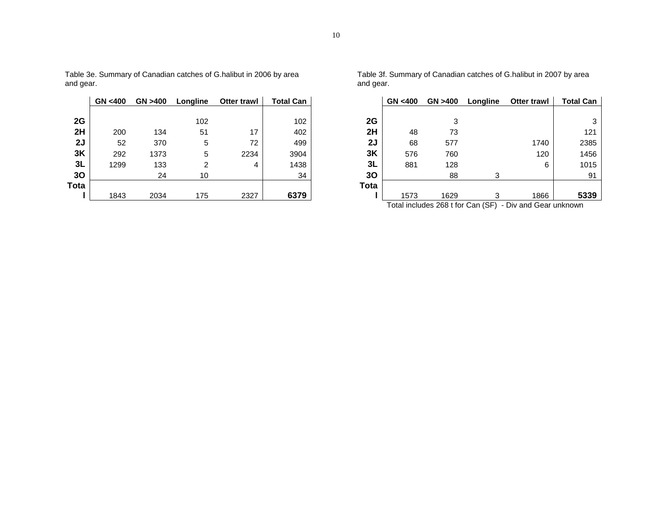|             | GN < 400 | GN > 400 | Longline | <b>Otter trawl</b> | <b>Total Can</b> |      |
|-------------|----------|----------|----------|--------------------|------------------|------|
|             |          |          |          |                    |                  |      |
| 2G          |          |          | 102      |                    | 102              | 2G   |
| 2H          | 200      | 134      | 51       | 17                 | 402              | 2H   |
| 2J          | 52       | 370      | 5        | 72                 | 499              | 2J   |
| 3K          | 292      | 1373     | 5        | 2234               | 3904             | 3K   |
| 3L          | 1299     | 133      | 2        | 4                  | 1438             | 3L   |
| 30          |          | 24       | 10       |                    | 34               | 30   |
| <b>Tota</b> |          |          |          |                    |                  | Tota |
|             | 1843     | 2034     | 175      | 2327               | 6379             |      |

Table 3e. Summary of Canadian catches of G.halibut in 2006 by area and gear.

Table 3f. Summary of Canadian catches of G.halibut in 2007 by area and gear.

| GN <400 | GN >400 | Longline | <b>Otter trawl</b> | <b>Total Can</b> |      | GN <400 | GN >400 | Longline | <b>Otter trawl</b>                                           | <b>Total Can</b> |
|---------|---------|----------|--------------------|------------------|------|---------|---------|----------|--------------------------------------------------------------|------------------|
|         |         |          |                    |                  |      |         |         |          |                                                              |                  |
|         |         | 102      |                    | 102              | 2G   |         |         |          |                                                              | 3                |
| 200     | 134     | 51       | 17                 | 402              | 2H   | 48      | 73      |          |                                                              | 121              |
| 52      | 370     | 5        | 72                 | 499              | 2J   | 68      | 577     |          | 1740                                                         | 2385             |
| 292     | 1373    | 5        | 2234               | 3904             | 3K   | 576     | 760     |          | 120                                                          | 1456             |
| 1299    | 133     |          | 4                  | 1438             | 3L   | 881     | 128     |          | 6                                                            | 1015             |
|         | 24      | 10       |                    | 34               | 30   |         | 88      | ⌒        |                                                              | 91               |
|         |         |          |                    |                  | Tota |         |         |          |                                                              |                  |
| 1843    | 2034    | 175      | 2327               | 6379             |      | 1573    | 1629    | 2        | 1866                                                         | 5339             |
|         |         |          |                    |                  |      |         |         |          | Total includes $268$ t for Can $(SE)$ - Divided Gear unknown |                  |

Total includes 268 t for Can (SF) - Div and Gear unknown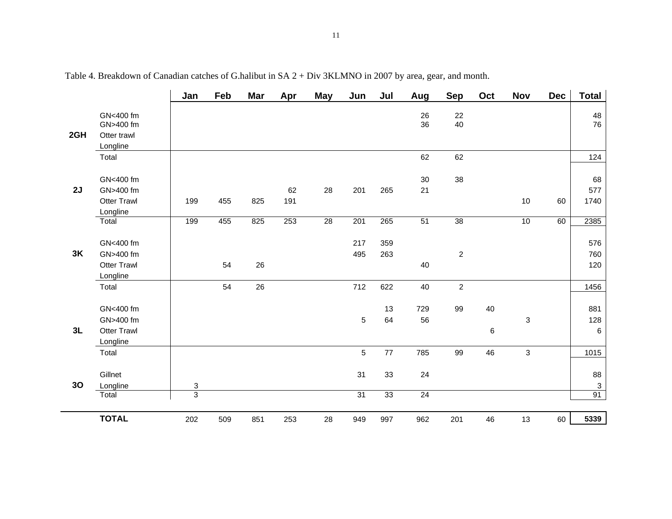|                |                                                          | Jan                                         | Feb | <b>Mar</b> | Apr       | <b>May</b> | Jun                   | Jul        | Aug                   | <b>Sep</b>       | Oct     | Nov          | <b>Dec</b> | <b>Total</b>                          |
|----------------|----------------------------------------------------------|---------------------------------------------|-----|------------|-----------|------------|-----------------------|------------|-----------------------|------------------|---------|--------------|------------|---------------------------------------|
| 2GH            | GN<400 fm<br>GN>400 fm<br>Otter trawl<br>Longline        |                                             |     |            |           |            |                       |            | 26<br>36              | 22<br>40         |         |              |            | 48<br>76                              |
|                | Total                                                    |                                             |     |            |           |            |                       |            | 62                    | 62               |         |              |            | 124                                   |
| 2J             | GN<400 fm<br>GN>400 fm<br><b>Otter Trawl</b><br>Longline | 199                                         | 455 | 825        | 62<br>191 | 28         | 201                   | 265        | 30<br>21              | 38               |         | 10           | 60         | 68<br>577<br>1740                     |
|                | Total                                                    | 199                                         | 455 | 825        | 253       | 28         | 201                   | 265        | 51                    | $\overline{38}$  |         | 10           | 60         | 2385                                  |
| 3K             | GN<400 fm<br>GN>400 fm<br><b>Otter Trawl</b><br>Longline |                                             | 54  | 26         |           |            | 217<br>495            | 359<br>263 | 40                    | $\overline{c}$   |         |              |            | 576<br>760<br>120                     |
|                | Total                                                    |                                             | 54  | 26         |           |            | 712                   | 622        | 40                    | $\boldsymbol{2}$ |         |              |            | 1456                                  |
| 3L             | GN<400 fm<br>GN>400 fm<br><b>Otter Trawl</b><br>Longline |                                             |     |            |           |            | $\sqrt{5}$            | 13<br>64   | 729<br>56             | 99               | 40<br>6 | 3            |            | 881<br>128<br>$\,6$                   |
|                | Total                                                    |                                             |     |            |           |            | 5                     | 77         | 785                   | 99               | 46      | $\mathbf{3}$ |            | 1015                                  |
| 3 <sub>O</sub> | Gillnet<br>Longline<br>Total                             | $\ensuremath{\mathsf{3}}$<br>$\overline{3}$ |     |            |           |            | 31<br>$\overline{31}$ | 33<br>33   | 24<br>$\overline{24}$ |                  |         |              |            | 88<br>$\ensuremath{\mathsf{3}}$<br>91 |
|                |                                                          |                                             |     |            |           |            |                       |            |                       |                  |         |              |            |                                       |
|                | <b>TOTAL</b>                                             | 202                                         | 509 | 851        | 253       | 28         | 949                   | 997        | 962                   | 201              | 46      | 13           | 60         | 5339                                  |

Table 4. Breakdown of Canadian catches of G.halibut in SA 2 + Div 3KLMNO in 2007 by area, gear, and month.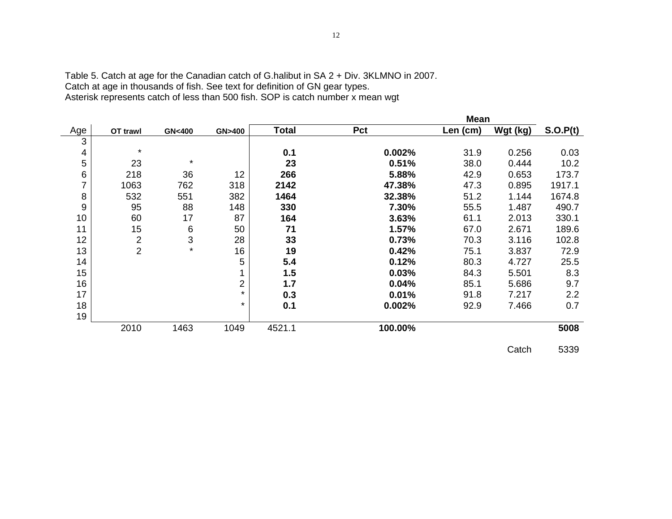|                |                |                  |                  |        |         | <b>Mean</b> |          |          |
|----------------|----------------|------------------|------------------|--------|---------|-------------|----------|----------|
| Age            | OT trawl       | <b>GN&lt;400</b> | <b>GN&gt;400</b> | Total  | Pct     | Len (cm)    | Wgt (kg) | S.O.P(t) |
| 3              |                |                  |                  |        |         |             |          |          |
| 4              | $\star$        |                  |                  | 0.1    | 0.002%  | 31.9        | 0.256    | 0.03     |
| 5              | 23             | $\star$          |                  | 23     | 0.51%   | 38.0        | 0.444    | 10.2     |
| 6              | 218            | 36               | 12               | 266    | 5.88%   | 42.9        | 0.653    | 173.7    |
| $\overline{7}$ | 1063           | 762              | 318              | 2142   | 47.38%  | 47.3        | 0.895    | 1917.1   |
| 8              | 532            | 551              | 382              | 1464   | 32.38%  | 51.2        | 1.144    | 1674.8   |
| 9              | 95             | 88               | 148              | 330    | 7.30%   | 55.5        | 1.487    | 490.7    |
| 10             | 60             | 17               | 87               | 164    | 3.63%   | 61.1        | 2.013    | 330.1    |
| 11             | 15             | $\,6$            | 50               | 71     | 1.57%   | 67.0        | 2.671    | 189.6    |
| 12             | $\overline{2}$ | $\mathbf{3}$     | 28               | 33     | 0.73%   | 70.3        | 3.116    | 102.8    |
| 13             | $\overline{2}$ | $\star$          | 16               | 19     | 0.42%   | 75.1        | 3.837    | 72.9     |
| 14             |                |                  | 5                | 5.4    | 0.12%   | 80.3        | 4.727    | 25.5     |
| 15             |                |                  | 1                | 1.5    | 0.03%   | 84.3        | 5.501    | 8.3      |
| 16             |                |                  | 2                | 1.7    | 0.04%   | 85.1        | 5.686    | 9.7      |
| 17             |                |                  | $\star$          | 0.3    | 0.01%   | 91.8        | 7.217    | 2.2      |
| 18             |                |                  | $\star$          | 0.1    | 0.002%  | 92.9        | 7.466    | 0.7      |
| 19             |                |                  |                  |        |         |             |          |          |
|                | 2010           | 1463             | 1049             | 4521.1 | 100.00% |             |          | 5008     |

Table 5. Catch at age for the Canadian catch of G.halibut in SA 2 + Div. 3KLMNO in 2007. Catch at age in thousands of fish. See text for definition of GN gear types. Asterisk represents catch of less than 500 fish. SOP is catch number x mean wgt

Catch 5339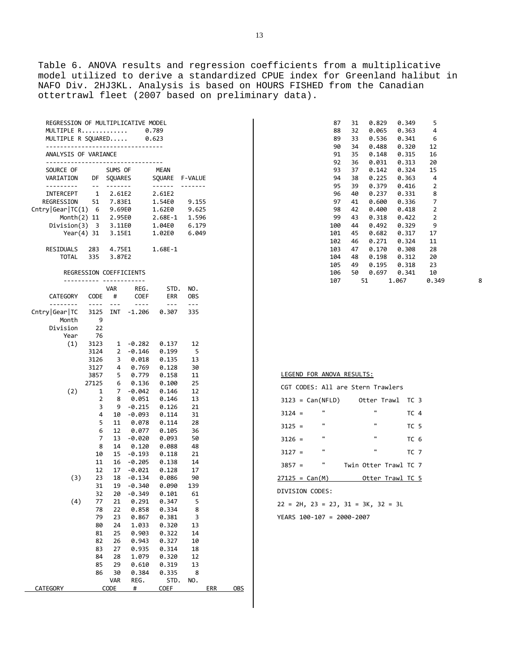13

Table 6. ANOVA results and regression coefficients from a multiplicative model utilized to derive a standardized CPUE index for Greenland halibut in NAFO Div. 2HJ3KL. Analysis is based on HOURS FISHED from the Canadian ottertrawl fleet (2007 based on preliminary data).

| REGRESSION OF MULTIPLICATIVE MODEL |         |             |                |
|------------------------------------|---------|-------------|----------------|
| MULTIPLE R                         |         | 0.789       |                |
| MULTIPLE R SOUARED                 |         | 0.623       |                |
|                                    |         |             |                |
| ANALYSIS OF VARIANCE               |         |             |                |
|                                    |         |             |                |
|                                    |         |             |                |
| SOURCE OF                          | SUMS OF | <b>MEAN</b> |                |
| VARIATION<br>DF                    | SOUARES |             | SOUARE F-VALUE |
|                                    |         |             |                |
| $\overline{1}$<br>INTERCEPT        | 2.61E2  | 2.61E2      |                |
| REGRESSION<br>51                   | 7.83E1  | 1.54E0      | 9.155          |
| Chtry Gear TC(1) 6                 | 9.69E0  | 1.62E0      | 9.625          |
| Month(2) 11 2.95E0                 |         | $2.68E-1$   | 1.596          |
| Division(3) 3 3.11E0               |         | 1.04E0      | 6.179          |
| Year $(4)$ 31                      | 3.15E1  | 1.02E0      | 6.049          |
|                                    |         |             |                |
| <b>RESIDUALS</b><br>283            | 4.75E1  | $1.68E-1$   |                |
| TOTAL<br>335                       | 3.87E2  |             |                |

#### REGRESSION COEFFICIENTS

|                   |                     | <b>VAR</b>     | REG.              | STD.           | NO.        |     |            |           |
|-------------------|---------------------|----------------|-------------------|----------------|------------|-----|------------|-----------|
| CATEGORY          | CODE                | #              | COEF              | ERR            | <b>OBS</b> |     |            |           |
|                   | $---$               | $- - -$        | $- - - -$         | ---            | $---$      |     |            |           |
| Cntry   Gear   TC | 3125                | <b>INT</b>     | $-1.206$          | 0.307          | 335        |     |            |           |
| Month             | 9                   |                |                   |                |            |     |            |           |
| Division          | 22                  |                |                   |                |            |     |            |           |
| Year              | 76                  |                |                   |                |            |     |            |           |
| (1)               | 3123                | 1              | $-0.282$          | 0.137          | 12         |     |            |           |
|                   | 3124                | 2              | $-0.146$          | 0.199          | 5          |     |            |           |
|                   | 3126                | 3              | 0.018             | 0.135          | 13         |     |            |           |
|                   | 3127                | 4              | 0.769             | 0.128          | 30         |     |            |           |
|                   | 3857                | 5              | 0.779             | 0.158          | 11         |     |            | <u>LI</u> |
|                   | 27125               | 6              | 0.136             | 0.100          | 25         |     |            | C         |
| (2)               | $\mathbf 1$         | $\overline{7}$ | $-0.042$          | 0.146          | 12         |     |            |           |
|                   | $\overline{2}$      | 8              | 0.051             | 0.146          | 13         |     |            | 31        |
|                   | 3                   | 9              | $-0.215$          | 0.126          | 21         |     |            | 31        |
|                   | 4                   | 10             | $-0.093$          | 0.114          | 31         |     |            |           |
|                   | 5                   | 11             | 0.078             | 0.114          | 28         |     |            | 31        |
|                   | 6<br>$\overline{7}$ | 12             | 0.077             | 0.105          | 36         |     |            |           |
|                   | 8                   | 13<br>14       | $-0.020$          | 0.093          | 50<br>48   |     |            | 31        |
|                   | 10                  | 15             | 0.120<br>$-0.193$ | 0.088<br>0.118 | 21         |     |            | 31        |
|                   | 11                  | 16             | $-0.205$          | 0.138          | 14         |     |            |           |
|                   | 12                  | 17             | $-0.021$          | 0.128          | 17         |     |            | 38        |
| (3)               | 23                  | 18             | $-0.134$          | 0.086          | 90         |     |            | 271       |
|                   | 31                  | 19             | $-0.340$          | 0.090          | 139        |     |            |           |
|                   | 32                  | 20             | $-0.349$          | 0.101          | 61         |     |            | DI\       |
| (4)               | 77                  | 21             | 0.291             | 0.347          | 5          |     |            |           |
|                   | 78                  | 22             | 0.858             | 0.334          | 8          |     |            | 22        |
|                   | 79                  | 23             | 0.867             | 0.381          | 3          |     |            | YE/       |
|                   | 80                  | 24             | 1.033             | 0.320          | 13         |     |            |           |
|                   | 81                  | 25             | 0.903             | 0.322          | 14         |     |            |           |
|                   | 82                  | 26             | 0.943             | 0.327          | 10         |     |            |           |
|                   | 83                  | 27             | 0.935             | 0.314          | 18         |     |            |           |
|                   | 84                  | 28             | 1.079             | 0.320          | 12         |     |            |           |
|                   | 85                  | 29             | 0.610             | 0.319          | 13         |     |            |           |
|                   | 86                  | 30             | 0.384             | 0.335          | 8          |     |            |           |
|                   |                     | <b>VAR</b>     | REG.              | STD.           | NO.        |     |            |           |
| CATEGORY          |                     | CODE           | #                 | COEF           |            | ERR | <b>OBS</b> |           |
|                   |                     |                |                   |                |            |     |            |           |

| 87  | 31 | 0.829 | 0.349 | 5     |   |
|-----|----|-------|-------|-------|---|
| 88  | 32 | 0.065 | 0.363 | 4     |   |
| 89  | 33 | 0.536 | 0.341 | 6     |   |
| 90  | 34 | 0.488 | 0.320 | 12    |   |
| 91  | 35 | 0.148 | 0.315 | 16    |   |
| 92  | 36 | 0.031 | 0.313 | 20    |   |
| 93  | 37 | 0.142 | 0.324 | 15    |   |
| 94  | 38 | 0.225 | 0.363 | 4     |   |
| 95  | 39 | 0.379 | 0.416 | 2     |   |
| 96  | 40 | 0.237 | 0.331 | 8     |   |
| 97  | 41 | 0.600 | 0.336 | 7     |   |
| 98  | 42 | 0.400 | 0.418 | 2     |   |
| 99  | 43 | 0.318 | 0.422 | 2     |   |
| 100 | 44 | 0.492 | 0.329 | 9     |   |
| 101 | 45 | 0.682 | 0.317 | 17    |   |
| 102 | 46 | 0.271 | 0.324 | 11    |   |
| 103 | 47 | 0.170 | 0.308 | 28    |   |
| 104 | 48 | 0.198 | 0.312 | 20    |   |
| 105 | 49 | 0.195 | 0.318 | 23    |   |
| 106 | 50 | 0.697 | 0.341 | 10    |   |
| 107 |    | 51    | 1.067 | 0.349 | 8 |
|     |    |       |       |       |   |

| ×<br>۰. |  |  |  |
|---------|--|--|--|
|         |  |  |  |
|         |  |  |  |
|         |  |  |  |

#### LEGEND FOR ANOVA RESULTS:

|                  |                    |                | CGT CODES: All are Stern Trawlers |                       |                 |  |
|------------------|--------------------|----------------|-----------------------------------|-----------------------|-----------------|--|
|                  | $3123 = Can(NFLD)$ |                |                                   | Otter Trawl           | TC 3            |  |
| $3124 =$         |                    | $\mathbf{u}$   |                                   | $\blacksquare$        | TC 4            |  |
| $3125 =$         |                    | $\mathbf{u}$   |                                   | $\mathbf{u}$          | TC <sub>5</sub> |  |
| $3126 =$         |                    | $\mathbf{u}$   |                                   | $\mathbf{u}$          | TC 6            |  |
| $3127 =$         |                    | $\mathbf{u}$   |                                   | $\mathbf{u}$          | TC 7            |  |
| $3857 =$         |                    | $\blacksquare$ |                                   | Twin Otter Trawl TC 7 |                 |  |
| $27125 = Can(M)$ |                    |                |                                   | Otter Trawl TC 5      |                 |  |

DIVISION CODES:

 22 = 2H, 23 = 2J, 31 = 3K, 32 = 3L YEARS 100-107 = 2000-2007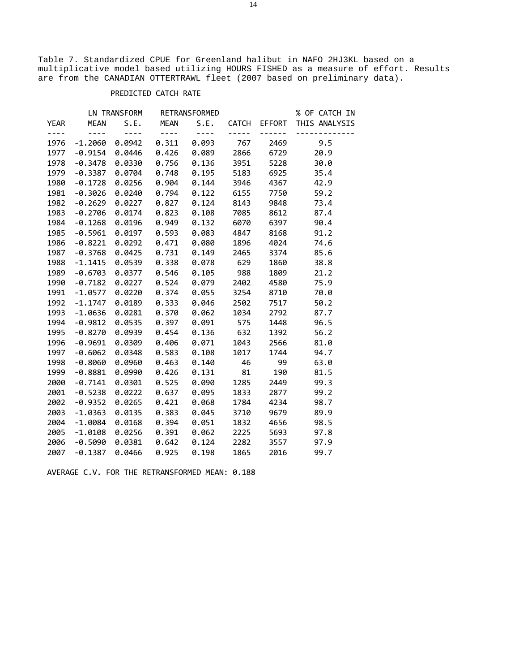Table 7. Standardized CPUE for Greenland halibut in NAFO 2HJ3KL based on a multiplicative model based utilizing HOURS FISHED as a measure of effort. Results are from the CANADIAN OTTERTRAWL fleet (2007 based on preliminary data).

## PREDICTED CATCH RATE

|               |                                                                                                                                                                                                                                                                                                                                                                                              | LN TRANSFORM RETRANSFORMED   |                             |                                                                                                                                                                                                                                                                                                                                                                                              |       |                   | % OF CATCH IN |
|---------------|----------------------------------------------------------------------------------------------------------------------------------------------------------------------------------------------------------------------------------------------------------------------------------------------------------------------------------------------------------------------------------------------|------------------------------|-----------------------------|----------------------------------------------------------------------------------------------------------------------------------------------------------------------------------------------------------------------------------------------------------------------------------------------------------------------------------------------------------------------------------------------|-------|-------------------|---------------|
| YEAR          | <b>MEAN</b>                                                                                                                                                                                                                                                                                                                                                                                  | S.E.                         | <b>MEAN</b>                 | S.E.                                                                                                                                                                                                                                                                                                                                                                                         | CATCH | EFFORT            | THIS ANALYSIS |
| $\frac{1}{2}$ | $\frac{1}{2} \frac{1}{2} \frac{1}{2} \frac{1}{2} \frac{1}{2} \frac{1}{2} \frac{1}{2} \frac{1}{2} \frac{1}{2} \frac{1}{2} \frac{1}{2} \frac{1}{2} \frac{1}{2} \frac{1}{2} \frac{1}{2} \frac{1}{2} \frac{1}{2} \frac{1}{2} \frac{1}{2} \frac{1}{2} \frac{1}{2} \frac{1}{2} \frac{1}{2} \frac{1}{2} \frac{1}{2} \frac{1}{2} \frac{1}{2} \frac{1}{2} \frac{1}{2} \frac{1}{2} \frac{1}{2} \frac{$ | $\omega = \omega + \omega$ . | $\sim$ $\sim$ $\sim$ $\sim$ | $\frac{1}{2} \frac{1}{2} \frac{1}{2} \frac{1}{2} \frac{1}{2} \frac{1}{2} \frac{1}{2} \frac{1}{2} \frac{1}{2} \frac{1}{2} \frac{1}{2} \frac{1}{2} \frac{1}{2} \frac{1}{2} \frac{1}{2} \frac{1}{2} \frac{1}{2} \frac{1}{2} \frac{1}{2} \frac{1}{2} \frac{1}{2} \frac{1}{2} \frac{1}{2} \frac{1}{2} \frac{1}{2} \frac{1}{2} \frac{1}{2} \frac{1}{2} \frac{1}{2} \frac{1}{2} \frac{1}{2} \frac{$ | ----- | $\equiv$ $\equiv$ |               |
| 1976          | $-1.2060$                                                                                                                                                                                                                                                                                                                                                                                    | 0.0942                       | 0.311                       | 0.093                                                                                                                                                                                                                                                                                                                                                                                        | 767   | 2469              | 9.5           |
| 1977          | $-0.9154$                                                                                                                                                                                                                                                                                                                                                                                    | 0.0446                       | 0.426                       | 0.089                                                                                                                                                                                                                                                                                                                                                                                        | 2866  | 6729              | 20.9          |
| 1978          | $-0.3478$                                                                                                                                                                                                                                                                                                                                                                                    | 0.0330                       | 0.756                       | 0.136                                                                                                                                                                                                                                                                                                                                                                                        | 3951  | 5228              | 30.0          |
| 1979          | $-0.3387$                                                                                                                                                                                                                                                                                                                                                                                    | 0.0704                       | 0.748                       | 0.195                                                                                                                                                                                                                                                                                                                                                                                        | 5183  | 6925              | 35.4          |
| 1980          | $-0.1728$                                                                                                                                                                                                                                                                                                                                                                                    | 0.0256                       | 0.904                       | 0.144                                                                                                                                                                                                                                                                                                                                                                                        | 3946  | 4367              | 42.9          |
| 1981          | $-0.3026$                                                                                                                                                                                                                                                                                                                                                                                    | 0.0240                       | 0.794                       | 0.122                                                                                                                                                                                                                                                                                                                                                                                        | 6155  | 7750              | 59.2          |
| 1982          | $-0.2629$                                                                                                                                                                                                                                                                                                                                                                                    | 0.0227                       | 0.827                       | 0.124                                                                                                                                                                                                                                                                                                                                                                                        | 8143  | 9848              | 73.4          |
| 1983          | $-0.2706$                                                                                                                                                                                                                                                                                                                                                                                    | 0.0174                       | 0.823                       | 0.108                                                                                                                                                                                                                                                                                                                                                                                        | 7085  | 8612              | 87.4          |
| 1984          | $-0.1268$                                                                                                                                                                                                                                                                                                                                                                                    | 0.0196                       | 0.949                       | 0.132                                                                                                                                                                                                                                                                                                                                                                                        | 6070  | 6397              | 90.4          |
| 1985          | $-0.5961$                                                                                                                                                                                                                                                                                                                                                                                    | 0.0197                       | 0.593                       | 0.083                                                                                                                                                                                                                                                                                                                                                                                        | 4847  | 8168              | 91.2          |
| 1986          | $-0.8221$                                                                                                                                                                                                                                                                                                                                                                                    | 0.0292                       | 0.471                       | 0.080                                                                                                                                                                                                                                                                                                                                                                                        | 1896  | 4024              | 74.6          |
| 1987          | $-0.3768$                                                                                                                                                                                                                                                                                                                                                                                    | 0.0425                       | 0.731                       | 0.149                                                                                                                                                                                                                                                                                                                                                                                        | 2465  | 3374              | 85.6          |
| 1988          | $-1.1415$                                                                                                                                                                                                                                                                                                                                                                                    | 0.0539                       | 0.338                       | 0.078                                                                                                                                                                                                                                                                                                                                                                                        | 629   | 1860              | 38.8          |
| 1989          | $-0.6703$                                                                                                                                                                                                                                                                                                                                                                                    | 0.0377                       | 0.546                       | 0.105                                                                                                                                                                                                                                                                                                                                                                                        | 988   | 1809              | 21.2          |
| 1990          | $-0.7182$                                                                                                                                                                                                                                                                                                                                                                                    | 0.0227                       | 0.524                       | 0.079                                                                                                                                                                                                                                                                                                                                                                                        | 2402  | 4580              | 75.9          |
| 1991          | $-1.0577$                                                                                                                                                                                                                                                                                                                                                                                    | 0.0220                       | 0.374                       | 0.055                                                                                                                                                                                                                                                                                                                                                                                        | 3254  | 8710              | 70.0          |
| 1992          | $-1.1747$                                                                                                                                                                                                                                                                                                                                                                                    | 0.0189                       | 0.333                       | 0.046                                                                                                                                                                                                                                                                                                                                                                                        | 2502  | 7517              | 50.2          |
| 1993          | $-1.0636$                                                                                                                                                                                                                                                                                                                                                                                    | 0.0281                       | 0.370                       | 0.062                                                                                                                                                                                                                                                                                                                                                                                        | 1034  | 2792              | 87.7          |
| 1994          | $-0.9812$                                                                                                                                                                                                                                                                                                                                                                                    | 0.0535                       | 0.397                       | 0.091                                                                                                                                                                                                                                                                                                                                                                                        | 575   | 1448              | 96.5          |
| 1995          | $-0.8270$                                                                                                                                                                                                                                                                                                                                                                                    | 0.0939                       | 0.454                       | 0.136                                                                                                                                                                                                                                                                                                                                                                                        | 632   | 1392              | 56.2          |
| 1996          | $-0.9691$                                                                                                                                                                                                                                                                                                                                                                                    | 0.0309                       | 0.406                       | 0.071                                                                                                                                                                                                                                                                                                                                                                                        | 1043  | 2566              | 81.0          |
| 1997          | $-0.6062$                                                                                                                                                                                                                                                                                                                                                                                    | 0.0348                       | 0.583                       | 0.108                                                                                                                                                                                                                                                                                                                                                                                        | 1017  | 1744              | 94.7          |
| 1998          | $-0.8060$                                                                                                                                                                                                                                                                                                                                                                                    | 0.0960                       | 0.463                       | 0.140                                                                                                                                                                                                                                                                                                                                                                                        | 46    | 99                | 63.0          |
| 1999          | $-0.8881$                                                                                                                                                                                                                                                                                                                                                                                    | 0.0990                       | 0.426                       | 0.131                                                                                                                                                                                                                                                                                                                                                                                        | 81    | 190               | 81.5          |
| 2000          | $-0.7141$                                                                                                                                                                                                                                                                                                                                                                                    | 0.0301                       | 0.525                       | 0.090                                                                                                                                                                                                                                                                                                                                                                                        | 1285  | 2449              | 99.3          |
| 2001          | $-0.5238$                                                                                                                                                                                                                                                                                                                                                                                    | 0.0222                       | 0.637                       | 0.095                                                                                                                                                                                                                                                                                                                                                                                        | 1833  | 2877              | 99.2          |
| 2002          | $-0.9352$                                                                                                                                                                                                                                                                                                                                                                                    | 0.0265                       | 0.421                       | 0.068                                                                                                                                                                                                                                                                                                                                                                                        | 1784  | 4234              | 98.7          |
| 2003          | $-1.0363$                                                                                                                                                                                                                                                                                                                                                                                    | 0.0135                       | 0.383                       | 0.045                                                                                                                                                                                                                                                                                                                                                                                        | 3710  | 9679              | 89.9          |
| 2004          | $-1.0084$                                                                                                                                                                                                                                                                                                                                                                                    | 0.0168                       | 0.394                       | 0.051                                                                                                                                                                                                                                                                                                                                                                                        | 1832  | 4656              | 98.5          |
| 2005          | $-1.0108$                                                                                                                                                                                                                                                                                                                                                                                    | 0.0256                       | 0.391                       | 0.062                                                                                                                                                                                                                                                                                                                                                                                        | 2225  | 5693              | 97.8          |
| 2006          | $-0.5090$                                                                                                                                                                                                                                                                                                                                                                                    | 0.0381                       | 0.642                       | 0.124                                                                                                                                                                                                                                                                                                                                                                                        | 2282  | 3557              | 97.9          |
| 2007          | $-0.1387$                                                                                                                                                                                                                                                                                                                                                                                    | 0.0466                       | 0.925                       | 0.198                                                                                                                                                                                                                                                                                                                                                                                        | 1865  | 2016              | 99.7          |

AVERAGE C.V. FOR THE RETRANSFORMED MEAN: 0.188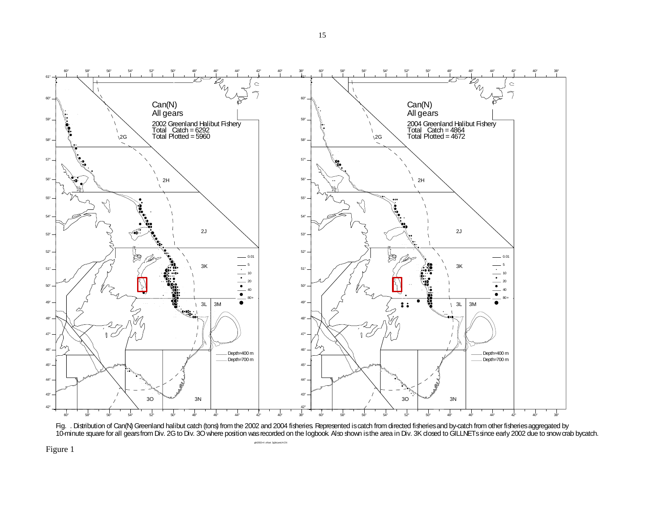



ghl2002+4 zifcat 2g3oLand.ACN

Figure 1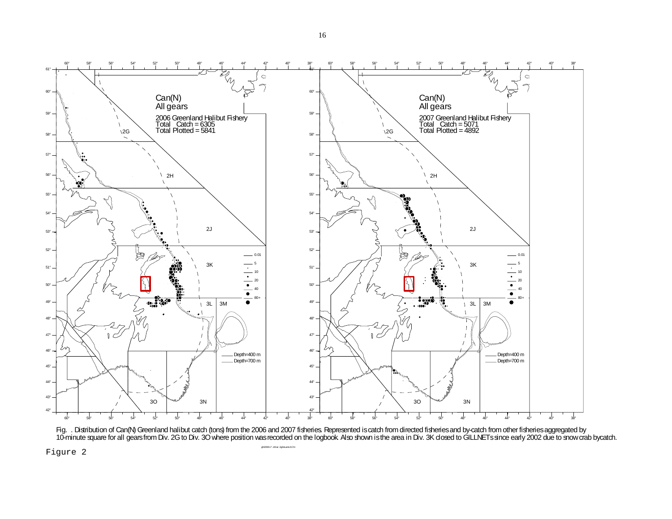

Fig. . Distribution of Can(N) Greenland halibut catch (tons) from the 2006 and 2007 fisheries. Represented is catch from directed fisheries and by-catch from other fisheries aggregated by 10-minute square for all gears from Div. 2G to Div. 3O where position was recorded on the logbook. Also shown is the area in Div. 3K closed to GILLNETs since early 2002 due to snow crab bycatch.

ghl2006+7 zifcat 2g3oLand.ACN

Figure 2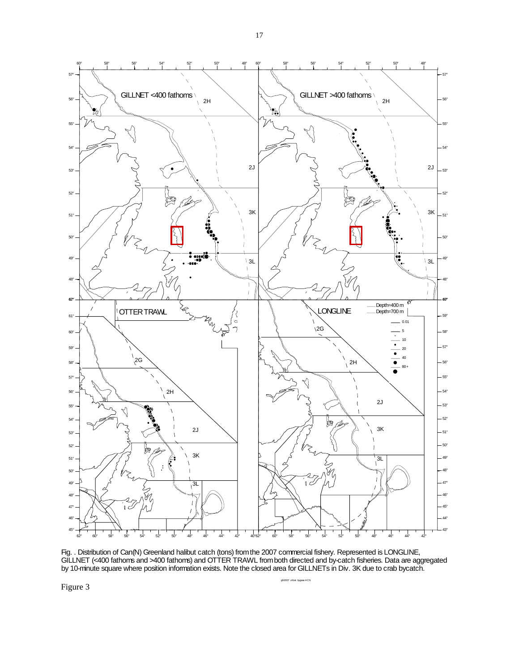

Fig. . Distribution of Can(N) Greenland halibut catch (tons) from the 2007 commercial fishery. Represented is LONGLINE, GILLNET (<400 fathoms and >400 fathoms) and OTTER TRAWL from both directed and by-catch fisheries. Data are aggregated by 10-minute square where position information exists. Note the closed area for GILLNETs in Div. 3K due to crab bycatch.

ar.ACN

Figure 3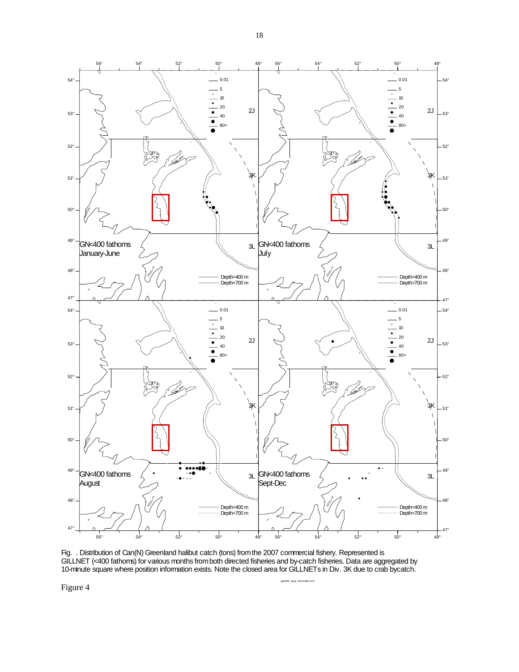

Fig. . Distribution of Can(N) Greenland halibut catch (tons) from the 2007 commercial fishery. Represented is GILLNET (<400 fathoms) for various months from both directed fisheries and by-catch fisheries. Data are aggregated by 10-minute square where position information exists. Note the closed area for GILLNETs in Div. 3K due to crab bycatch.

ghl2006 zifcat GNLE400.ACN

Figure 4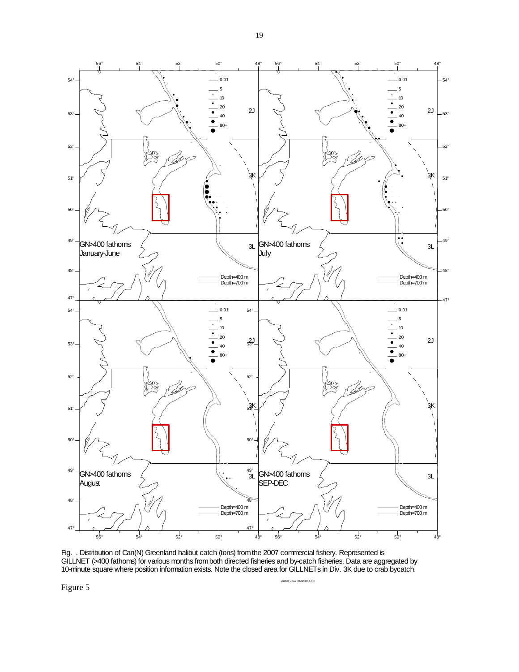

Fig. . Distribution of Can(N) Greenland halibut catch (tons) from the 2007 commercial fishery. Represented is GILLNET (>400 fathoms) for various months from both directed fisheries and by-catch fisheries. Data are aggregated by 10-minute square where position information exists. Note the closed area for GILLNETs in Div. 3K due to crab bycatch.

400.ACN

Figure 5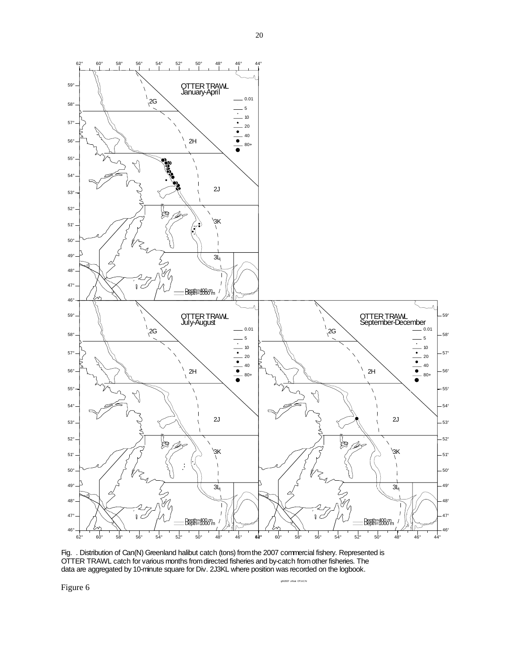

Fig. . Distribution of Can(N) Greenland halibut catch (tons) from the 2007 commercial fishery. Represented is OTTER TRAWL catch for various months from directed fisheries and by-catch from other fisheries. The data are aggregated by 10-minute square for Div. 2J3KL where position was recorded on the logbook.

ghl2007 zifcat OT.ACN

Figure 6